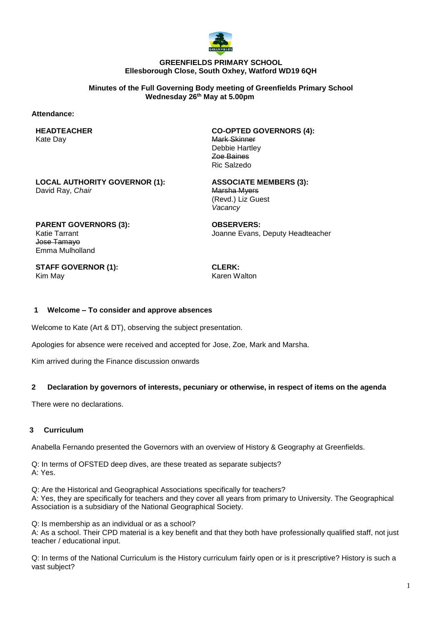

## **GREENFIELDS PRIMARY SCHOOL Ellesborough Close, South Oxhey, Watford WD19 6QH**

**Minutes of the Full Governing Body meeting of Greenfields Primary School Wednesday 26th May at 5.00pm**

### **Attendance:**

**HEADTEACHER** Kate Day

**CO-OPTED GOVERNORS (4):** Mark Skinner Debbie Hartley Zoe Baines Ric Salzedo

**LOCAL AUTHORITY GOVERNOR (1):** David Ray, *Chair*

**ASSOCIATE MEMBERS (3):** Marsha Myers (Revd.) Liz Guest *Vacancy*

**PARENT GOVERNORS (3):** Katie Tarrant Jose Tamayo Emma Mulholland

**OBSERVERS:** Joanne Evans, Deputy Headteacher

**STAFF GOVERNOR (1):** Kim May

**CLERK:** Karen Walton

## **1 Welcome – To consider and approve absences**

Welcome to Kate (Art & DT), observing the subject presentation.

Apologies for absence were received and accepted for Jose, Zoe, Mark and Marsha.

Kim arrived during the Finance discussion onwards

## **2 Declaration by governors of interests, pecuniary or otherwise, in respect of items on the agenda**

There were no declarations.

## **3 Curriculum**

Anabella Fernando presented the Governors with an overview of History & Geography at Greenfields.

Q: In terms of OFSTED deep dives, are these treated as separate subjects? A: Yes.

Q: Are the Historical and Geographical Associations specifically for teachers?

A: Yes, they are specifically for teachers and they cover all years from primary to University. The Geographical Association is a subsidiary of the National Geographical Society.

Q: Is membership as an individual or as a school? A: As a school. Their CPD material is a key benefit and that they both have professionally qualified staff, not just teacher / educational input.

Q: In terms of the National Curriculum is the History curriculum fairly open or is it prescriptive? History is such a vast subject?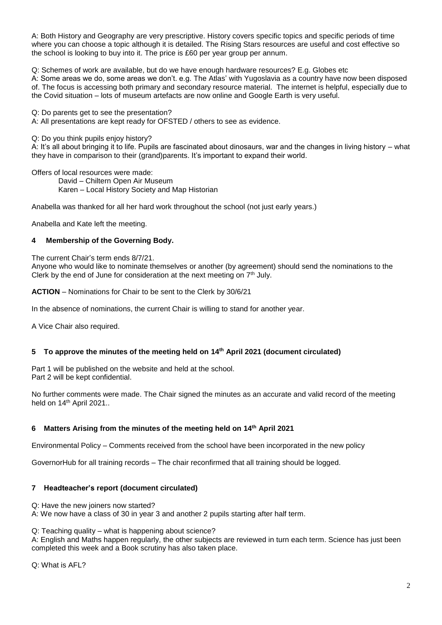A: Both History and Geography are very prescriptive. History covers specific topics and specific periods of time where you can choose a topic although it is detailed. The Rising Stars resources are useful and cost effective so the school is looking to buy into it. The price is £60 per year group per annum.

Q: Schemes of work are available, but do we have enough hardware resources? E.g. Globes etc

A: Some areas we do, some areas we don't. e.g. The Atlas' with Yugoslavia as a country have now been disposed of. The focus is accessing both primary and secondary resource material. The internet is helpful, especially due to the Covid situation – lots of museum artefacts are now online and Google Earth is very useful.

Q: Do parents get to see the presentation?

A: All presentations are kept ready for OFSTED / others to see as evidence.

Q: Do you think pupils enjoy history?

A: It's all about bringing it to life. Pupils are fascinated about dinosaurs, war and the changes in living history – what they have in comparison to their (grand)parents. It's important to expand their world.

Offers of local resources were made:

David – Chiltern Open Air Museum Karen – Local History Society and Map Historian

Anabella was thanked for all her hard work throughout the school (not just early years.)

Anabella and Kate left the meeting.

# **4 Membership of the Governing Body.**

The current Chair's term ends 8/7/21.

Anyone who would like to nominate themselves or another (by agreement) should send the nominations to the Clerk by the end of June for consideration at the next meeting on  $7<sup>th</sup>$  July.

**ACTION** – Nominations for Chair to be sent to the Clerk by 30/6/21

In the absence of nominations, the current Chair is willing to stand for another year.

A Vice Chair also required.

# **5 To approve the minutes of the meeting held on 14th April 2021 (document circulated)**

Part 1 will be published on the website and held at the school. Part 2 will be kept confidential.

No further comments were made. The Chair signed the minutes as an accurate and valid record of the meeting held on 14<sup>th</sup> April 2021..

# **6 Matters Arising from the minutes of the meeting held on 14th April 2021**

Environmental Policy – Comments received from the school have been incorporated in the new policy

GovernorHub for all training records – The chair reconfirmed that all training should be logged.

# **7 Headteacher's report (document circulated)**

Q: Have the new joiners now started?

A: We now have a class of 30 in year 3 and another 2 pupils starting after half term.

Q: Teaching quality – what is happening about science?

A: English and Maths happen regularly, the other subjects are reviewed in turn each term. Science has just been completed this week and a Book scrutiny has also taken place.

Q: What is AFL?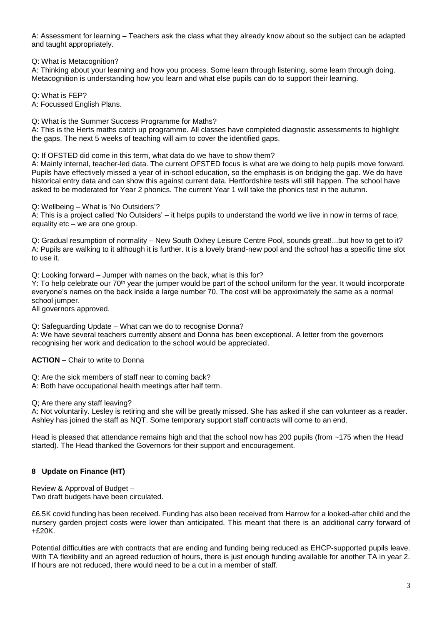A: Assessment for learning – Teachers ask the class what they already know about so the subject can be adapted and taught appropriately.

Q: What is Metacognition?

A: Thinking about your learning and how you process. Some learn through listening, some learn through doing. Metacognition is understanding how you learn and what else pupils can do to support their learning.

Q: What is FEP?

A: Focussed English Plans.

Q: What is the Summer Success Programme for Maths?

A: This is the Herts maths catch up programme. All classes have completed diagnostic assessments to highlight the gaps. The next 5 weeks of teaching will aim to cover the identified gaps.

Q: If OFSTED did come in this term, what data do we have to show them?

A: Mainly internal, teacher-led data. The current OFSTED focus is what are we doing to help pupils move forward. Pupils have effectively missed a year of in-school education, so the emphasis is on bridging the gap. We do have historical entry data and can show this against current data. Hertfordshire tests will still happen. The school have asked to be moderated for Year 2 phonics. The current Year 1 will take the phonics test in the autumn.

Q: Wellbeing – What is 'No Outsiders'?

A: This is a project called 'No Outsiders' – it helps pupils to understand the world we live in now in terms of race, equality etc – we are one group.

Q: Gradual resumption of normality – New South Oxhey Leisure Centre Pool, sounds great!...but how to get to it? A: Pupils are walking to it although it is further. It is a lovely brand-new pool and the school has a specific time slot to use it.

Q: Looking forward – Jumper with names on the back, what is this for?

Y: To help celebrate our 70<sup>th</sup> year the jumper would be part of the school uniform for the year. It would incorporate everyone's names on the back inside a large number 70. The cost will be approximately the same as a normal school jumper.

All governors approved.

Q: Safeguarding Update – What can we do to recognise Donna?

A: We have several teachers currently absent and Donna has been exceptional. A letter from the governors recognising her work and dedication to the school would be appreciated.

**ACTION** – Chair to write to Donna

Q: Are the sick members of staff near to coming back?

A: Both have occupational health meetings after half term.

Q; Are there any staff leaving?

A: Not voluntarily. Lesley is retiring and she will be greatly missed. She has asked if she can volunteer as a reader. Ashley has joined the staff as NQT. Some temporary support staff contracts will come to an end.

Head is pleased that attendance remains high and that the school now has 200 pupils (from ~175 when the Head started). The Head thanked the Governors for their support and encouragement.

# **8 Update on Finance (HT)**

Review & Approval of Budget – Two draft budgets have been circulated.

£6.5K covid funding has been received. Funding has also been received from Harrow for a looked-after child and the nursery garden project costs were lower than anticipated. This meant that there is an additional carry forward of  $+£20K.$ 

Potential difficulties are with contracts that are ending and funding being reduced as EHCP-supported pupils leave. With TA flexibility and an agreed reduction of hours, there is just enough funding available for another TA in year 2. If hours are not reduced, there would need to be a cut in a member of staff.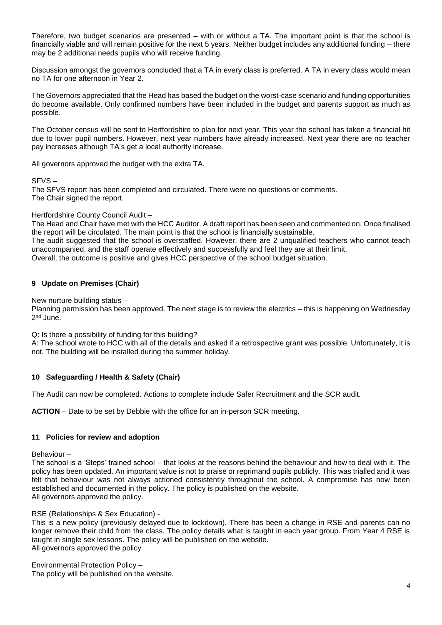Therefore, two budget scenarios are presented – with or without a TA. The important point is that the school is financially viable and will remain positive for the next 5 years. Neither budget includes any additional funding – there may be 2 additional needs pupils who will receive funding.

Discussion amongst the governors concluded that a TA in every class is preferred. A TA in every class would mean no TA for one afternoon in Year 2.

The Governors appreciated that the Head has based the budget on the worst-case scenario and funding opportunities do become available. Only confirmed numbers have been included in the budget and parents support as much as possible.

The October census will be sent to Hertfordshire to plan for next year. This year the school has taken a financial hit due to lower pupil numbers. However, next year numbers have already increased. Next year there are no teacher pay increases although TA's get a local authority increase.

All governors approved the budget with the extra TA.

## SFVS –

The SFVS report has been completed and circulated. There were no questions or comments. The Chair signed the report.

## Hertfordshire County Council Audit –

The Head and Chair have met with the HCC Auditor. A draft report has been seen and commented on. Once finalised the report will be circulated. The main point is that the school is financially sustainable.

The audit suggested that the school is overstaffed. However, there are 2 unqualified teachers who cannot teach unaccompanied, and the staff operate effectively and successfully and feel they are at their limit. Overall, the outcome is positive and gives HCC perspective of the school budget situation.

# **9 Update on Premises (Chair)**

New nurture building status –

Planning permission has been approved. The next stage is to review the electrics – this is happening on Wednesday 2<sup>nd</sup> June.

Q: Is there a possibility of funding for this building?

A: The school wrote to HCC with all of the details and asked if a retrospective grant was possible. Unfortunately, it is not. The building will be installed during the summer holiday.

# **10 Safeguarding / Health & Safety (Chair)**

The Audit can now be completed. Actions to complete include Safer Recruitment and the SCR audit.

**ACTION** – Date to be set by Debbie with the office for an in-person SCR meeting.

## **11 Policies for review and adoption**

Behaviour –

The school is a 'Steps' trained school – that looks at the reasons behind the behaviour and how to deal with it. The policy has been updated. An important value is not to praise or reprimand pupils publicly. This was trialled and it was felt that behaviour was not always actioned consistently throughout the school. A compromise has now been established and documented in the policy. The policy is published on the website. All governors approved the policy.

RSE (Relationships & Sex Education) -

This is a new policy (previously delayed due to lockdown). There has been a change in RSE and parents can no longer remove their child from the class. The policy details what is taught in each year group. From Year 4 RSE is taught in single sex lessons. The policy will be published on the website. All governors approved the policy

Environmental Protection Policy – The policy will be published on the website.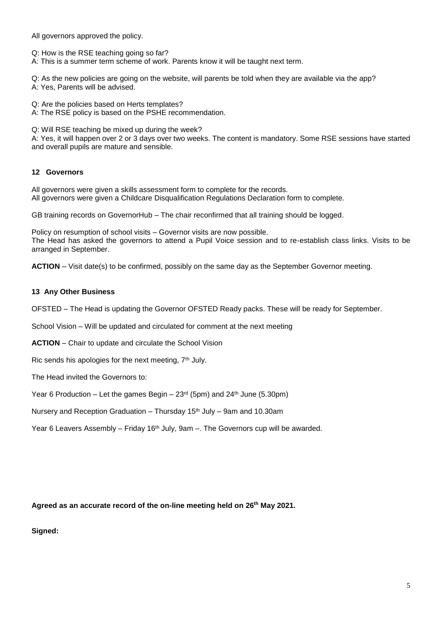All governors approved the policy.

Q: How is the RSE teaching going so far?

A: This is a summer term scheme of work. Parents know it will be taught next term.

Q: As the new policies are going on the website, will parents be told when they are available via the app? A: Yes, Parents will be advised.

Q: Are the policies based on Herts templates?

A: The RSE policy is based on the PSHE recommendation.

Q: Will RSE teaching be mixed up during the week?

A: Yes, it will happen over 2 or 3 days over two weeks. The content is mandatory. Some RSE sessions have started and overall pupils are mature and sensible.

# **12 Governors**

All governors were given a skills assessment form to complete for the records. All governors were given a Childcare Disqualification Regulations Declaration form to complete.

GB training records on GovernorHub – The chair reconfirmed that all training should be logged.

Policy on resumption of school visits – Governor visits are now possible. The Head has asked the governors to attend a Pupil Voice session and to re-establish class links. Visits to be arranged in September.

**ACTION** – Visit date(s) to be confirmed, possibly on the same day as the September Governor meeting.

# **13 Any Other Business**

OFSTED – The Head is updating the Governor OFSTED Ready packs. These will be ready for September.

School Vision – Will be updated and circulated for comment at the next meeting

**ACTION** – Chair to update and circulate the School Vision

Ric sends his apologies for the next meeting, 7<sup>th</sup> July.

The Head invited the Governors to:

Year 6 Production – Let the games Begin –  $23<sup>rd</sup>$  (5pm) and  $24<sup>th</sup>$  June (5.30pm)

Nursery and Reception Graduation – Thursday 15th July – 9am and 10.30am

Year 6 Leavers Assembly – Friday  $16<sup>th</sup>$  July, 9am –. The Governors cup will be awarded.

**Agreed as an accurate record of the on-line meeting held on 26th May 2021.**

**Signed:**